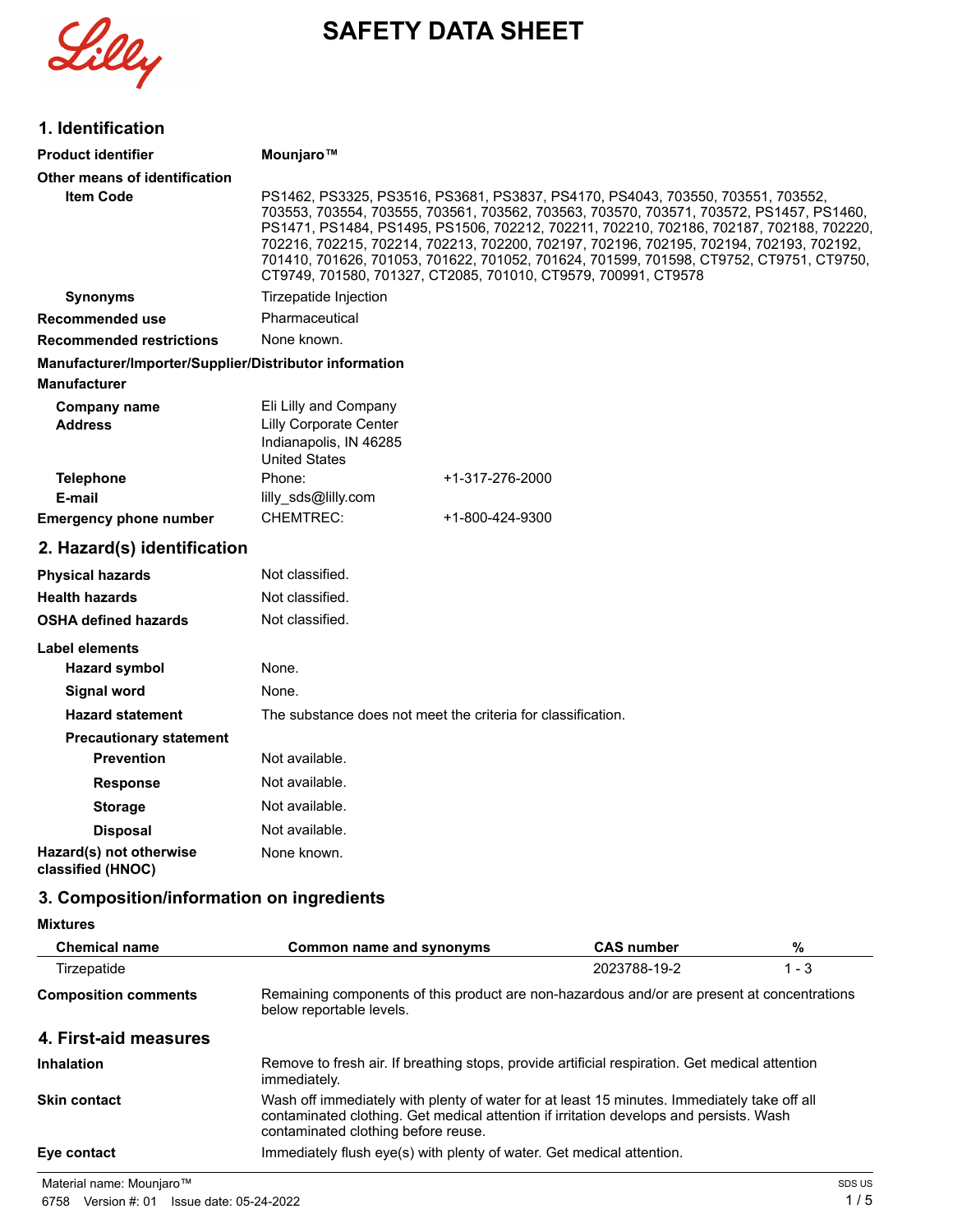Lilly

# **SAFETY DATA SHEET**

| 1. Identification                                      |                                                                                                                                                                                                                                                                                                                                                                                                                                                                                                                               |
|--------------------------------------------------------|-------------------------------------------------------------------------------------------------------------------------------------------------------------------------------------------------------------------------------------------------------------------------------------------------------------------------------------------------------------------------------------------------------------------------------------------------------------------------------------------------------------------------------|
| <b>Product identifier</b>                              | Mounjaro™                                                                                                                                                                                                                                                                                                                                                                                                                                                                                                                     |
| Other means of identification                          |                                                                                                                                                                                                                                                                                                                                                                                                                                                                                                                               |
| <b>Item Code</b>                                       | PS1462, PS3325, PS3516, PS3681, PS3837, PS4170, PS4043, 703550, 703551, 703552,<br>703553, 703554, 703555, 703561, 703562, 703563, 703570, 703571, 703572, PS1457, PS1460,<br>PS1471, PS1484, PS1495, PS1506, 702212, 702211, 702210, 702186, 702187, 702188, 702220,<br>702216, 702215, 702214, 702213, 702200, 702197, 702196, 702195, 702194, 702193, 702192,<br>701410, 701626, 701053, 701622, 701052, 701624, 701599, 701598, CT9752, CT9751, CT9750,<br>CT9749, 701580, 701327, CT2085, 701010, CT9579, 700991, CT9578 |
| <b>Synonyms</b>                                        | Tirzepatide Injection                                                                                                                                                                                                                                                                                                                                                                                                                                                                                                         |
| <b>Recommended use</b>                                 | Pharmaceutical                                                                                                                                                                                                                                                                                                                                                                                                                                                                                                                |
| <b>Recommended restrictions</b>                        | None known.                                                                                                                                                                                                                                                                                                                                                                                                                                                                                                                   |
| Manufacturer/Importer/Supplier/Distributor information |                                                                                                                                                                                                                                                                                                                                                                                                                                                                                                                               |
| <b>Manufacturer</b>                                    |                                                                                                                                                                                                                                                                                                                                                                                                                                                                                                                               |
| Company name<br><b>Address</b>                         | Eli Lilly and Company<br><b>Lilly Corporate Center</b><br>Indianapolis, IN 46285<br><b>United States</b>                                                                                                                                                                                                                                                                                                                                                                                                                      |
| <b>Telephone</b>                                       | Phone:<br>+1-317-276-2000                                                                                                                                                                                                                                                                                                                                                                                                                                                                                                     |
| E-mail                                                 | lilly_sds@lilly.com                                                                                                                                                                                                                                                                                                                                                                                                                                                                                                           |
| <b>Emergency phone number</b>                          | <b>CHEMTREC:</b><br>+1-800-424-9300                                                                                                                                                                                                                                                                                                                                                                                                                                                                                           |
| 2. Hazard(s) identification                            |                                                                                                                                                                                                                                                                                                                                                                                                                                                                                                                               |
| <b>Physical hazards</b>                                | Not classified.                                                                                                                                                                                                                                                                                                                                                                                                                                                                                                               |
| <b>Health hazards</b>                                  | Not classified.                                                                                                                                                                                                                                                                                                                                                                                                                                                                                                               |
| <b>OSHA defined hazards</b>                            | Not classified.                                                                                                                                                                                                                                                                                                                                                                                                                                                                                                               |
| <b>Label elements</b>                                  |                                                                                                                                                                                                                                                                                                                                                                                                                                                                                                                               |
| <b>Hazard symbol</b>                                   | None.                                                                                                                                                                                                                                                                                                                                                                                                                                                                                                                         |
| <b>Signal word</b>                                     | None.                                                                                                                                                                                                                                                                                                                                                                                                                                                                                                                         |
| <b>Hazard statement</b>                                | The substance does not meet the criteria for classification.                                                                                                                                                                                                                                                                                                                                                                                                                                                                  |
| <b>Precautionary statement</b>                         |                                                                                                                                                                                                                                                                                                                                                                                                                                                                                                                               |
| <b>Prevention</b>                                      | Not available.                                                                                                                                                                                                                                                                                                                                                                                                                                                                                                                |
| <b>Response</b>                                        | Not available.                                                                                                                                                                                                                                                                                                                                                                                                                                                                                                                |
| <b>Storage</b>                                         | Not available.                                                                                                                                                                                                                                                                                                                                                                                                                                                                                                                |
| <b>Disposal</b>                                        | Not available.                                                                                                                                                                                                                                                                                                                                                                                                                                                                                                                |
| Hazard(s) not otherwise<br>classified (HNOC)           | None known.                                                                                                                                                                                                                                                                                                                                                                                                                                                                                                                   |
| 3. Composition/information on ingredients              |                                                                                                                                                                                                                                                                                                                                                                                                                                                                                                                               |

**Mixtures**

| <b>Chemical name</b>        | Common name and synonyms                                                                                                                                                                                                     | <b>CAS number</b> | %       |
|-----------------------------|------------------------------------------------------------------------------------------------------------------------------------------------------------------------------------------------------------------------------|-------------------|---------|
| Tirzepatide                 |                                                                                                                                                                                                                              | 2023788-19-2      | $1 - 3$ |
| <b>Composition comments</b> | Remaining components of this product are non-hazardous and/or are present at concentrations<br>below reportable levels.                                                                                                      |                   |         |
| 4. First-aid measures       |                                                                                                                                                                                                                              |                   |         |
| <b>Inhalation</b>           | Remove to fresh air. If breathing stops, provide artificial respiration. Get medical attention<br>immediately.                                                                                                               |                   |         |
| <b>Skin contact</b>         | Wash off immediately with plenty of water for at least 15 minutes. Immediately take off all<br>contaminated clothing. Get medical attention if irritation develops and persists. Wash<br>contaminated clothing before reuse. |                   |         |
| Eye contact                 | Immediately flush eye(s) with plenty of water. Get medical attention.                                                                                                                                                        |                   |         |
| Material name: Mounjaro™    |                                                                                                                                                                                                                              |                   | SDS US  |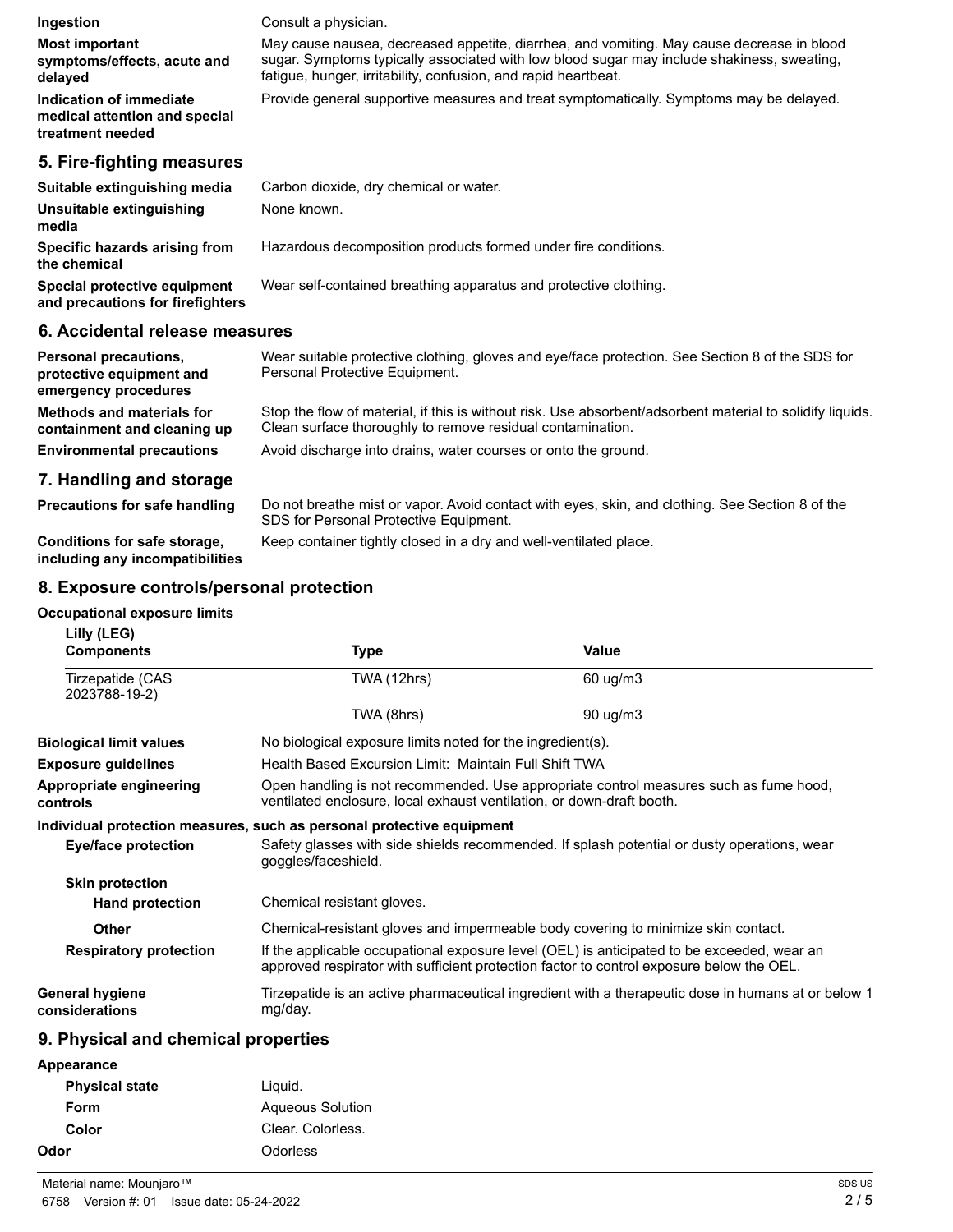| Ingestion                                                                    | Consult a physician.                                                                                                                                                                                                                                      |
|------------------------------------------------------------------------------|-----------------------------------------------------------------------------------------------------------------------------------------------------------------------------------------------------------------------------------------------------------|
| <b>Most important</b><br>symptoms/effects, acute and<br>delayed              | May cause nausea, decreased appetite, diarrhea, and vomiting. May cause decrease in blood<br>sugar. Symptoms typically associated with low blood sugar may include shakiness, sweating,<br>fatigue, hunger, irritability, confusion, and rapid heartbeat. |
| Indication of immediate<br>medical attention and special<br>treatment needed | Provide general supportive measures and treat symptomatically. Symptoms may be delayed.                                                                                                                                                                   |
| 5. Fire-fighting measures                                                    |                                                                                                                                                                                                                                                           |
| Suitable extinguishing media                                                 | Carbon dioxide, dry chemical or water.                                                                                                                                                                                                                    |
| Unsuitable extinguishing<br>media                                            | None known.                                                                                                                                                                                                                                               |
| Specific hazards arising from<br>the chemical                                | Hazardous decomposition products formed under fire conditions.                                                                                                                                                                                            |
| Special protective equipment<br>and precautions for firefighters             | Wear self-contained breathing apparatus and protective clothing.                                                                                                                                                                                          |

#### **6. Accidental release measures**

| <b>Personal precautions.</b><br>protective equipment and<br>emergency procedures | Wear suitable protective clothing, gloves and eve/face protection. See Section 8 of the SDS for<br>Personal Protective Equipment.                                       |
|----------------------------------------------------------------------------------|-------------------------------------------------------------------------------------------------------------------------------------------------------------------------|
| Methods and materials for<br>containment and cleaning up                         | Stop the flow of material, if this is without risk. Use absorbent/adsorbent material to solidify liquids.<br>Clean surface thoroughly to remove residual contamination. |
| <b>Environmental precautions</b>                                                 | Avoid discharge into drains, water courses or onto the ground.                                                                                                          |
| 7. Handling and storage                                                          |                                                                                                                                                                         |
| <b>Precautions for safe handling</b>                                             | Do not breathe mist or vapor. Avoid contact with eyes, skin, and clothing. See Section 8 of the                                                                         |

**Conditions for safe storage,** Keep container tightly closed in a dry and well-ventilated place.

Do not breathe mist or vapor. Avoid contact with eyes, skin, and clothing. See Section 8 of the SDS for Personal Protective Equipment.

**including any incompatibilities**

# **8. Exposure controls/personal protection**

#### **Occupational exposure limits**

| Lilly (LEG)<br><b>Components</b>         | Type                                                                                                                                                                                   | Value                                                                                              |
|------------------------------------------|----------------------------------------------------------------------------------------------------------------------------------------------------------------------------------------|----------------------------------------------------------------------------------------------------|
| Tirzepatide (CAS<br>2023788-19-2)        | TWA (12hrs)                                                                                                                                                                            | $60 \text{ ug/m}$ 3                                                                                |
|                                          | TWA (8hrs)                                                                                                                                                                             | $90 \text{ uq/m}$ 3                                                                                |
| <b>Biological limit values</b>           | No biological exposure limits noted for the ingredient(s).                                                                                                                             |                                                                                                    |
| <b>Exposure guidelines</b>               | Health Based Excursion Limit: Maintain Full Shift TWA                                                                                                                                  |                                                                                                    |
| Appropriate engineering<br>controls      | Open handling is not recommended. Use appropriate control measures such as fume hood,<br>ventilated enclosure, local exhaust ventilation, or down-draft booth.                         |                                                                                                    |
|                                          | Individual protection measures, such as personal protective equipment                                                                                                                  |                                                                                                    |
| Eye/face protection                      | Safety glasses with side shields recommended. If splash potential or dusty operations, wear<br>goggles/faceshield.                                                                     |                                                                                                    |
| <b>Skin protection</b>                   |                                                                                                                                                                                        |                                                                                                    |
| <b>Hand protection</b>                   | Chemical resistant gloves.                                                                                                                                                             |                                                                                                    |
| <b>Other</b>                             | Chemical-resistant gloves and impermeable body covering to minimize skin contact.                                                                                                      |                                                                                                    |
| <b>Respiratory protection</b>            | If the applicable occupational exposure level (OEL) is anticipated to be exceeded, wear an<br>approved respirator with sufficient protection factor to control exposure below the OEL. |                                                                                                    |
| <b>General hygiene</b><br>considerations | mg/day.                                                                                                                                                                                | Tirzepatide is an active pharmaceutical ingredient with a therapeutic dose in humans at or below 1 |

# **9. Physical and chemical properties**

| Appearance |
|------------|
|------------|

| <b>Physical state</b> | Liguid.                 |
|-----------------------|-------------------------|
| Form                  | <b>Agueous Solution</b> |
| Color                 | Clear. Colorless.       |
| Odor                  | Odorless                |
|                       |                         |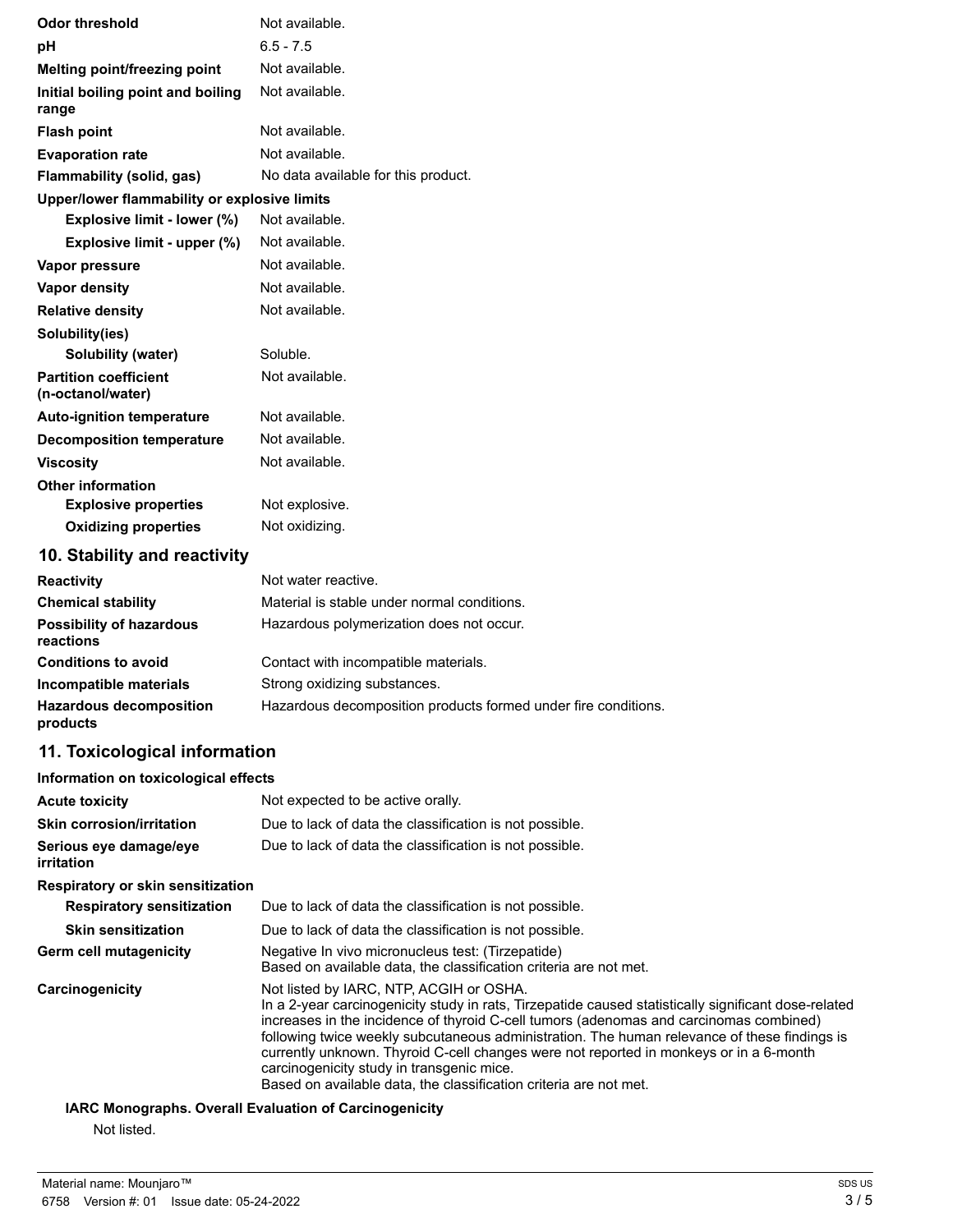| <b>Odor threshold</b>                             | Not available.                      |
|---------------------------------------------------|-------------------------------------|
| рH                                                | $6.5 - 7.5$                         |
| <b>Melting point/freezing point</b>               | Not available.                      |
| Initial boiling point and boiling<br>range        | Not available.                      |
| <b>Flash point</b>                                | Not available.                      |
| <b>Evaporation rate</b>                           | Not available.                      |
| Flammability (solid, gas)                         | No data available for this product. |
| Upper/lower flammability or explosive limits      |                                     |
| Explosive limit - lower (%)                       | Not available.                      |
| Explosive limit - upper (%)                       | Not available.                      |
| Vapor pressure                                    | Not available.                      |
| <b>Vapor density</b>                              | Not available.                      |
| <b>Relative density</b>                           | Not available.                      |
| Solubility(ies)                                   |                                     |
| Solubility (water)                                | Soluble.                            |
| <b>Partition coefficient</b><br>(n-octanol/water) | Not available.                      |
| <b>Auto-ignition temperature</b>                  | Not available.                      |
| <b>Decomposition temperature</b>                  | Not available.                      |
| <b>Viscosity</b>                                  | Not available.                      |
| <b>Other information</b>                          |                                     |
| <b>Explosive properties</b>                       | Not explosive.                      |
| <b>Oxidizing properties</b>                       | Not oxidizing.                      |

# **10. Stability and reactivity**

| <b>Reactivity</b>                            | Not water reactive.                                            |
|----------------------------------------------|----------------------------------------------------------------|
| <b>Chemical stability</b>                    | Material is stable under normal conditions.                    |
| <b>Possibility of hazardous</b><br>reactions | Hazardous polymerization does not occur.                       |
| <b>Conditions to avoid</b>                   | Contact with incompatible materials.                           |
| Incompatible materials                       | Strong oxidizing substances.                                   |
| <b>Hazardous decomposition</b><br>products   | Hazardous decomposition products formed under fire conditions. |

# **11. Toxicological information**

| Information on toxicological effects                                                                                                                                                                                                                                                                                                                                                                                                                                                                                                                  |
|-------------------------------------------------------------------------------------------------------------------------------------------------------------------------------------------------------------------------------------------------------------------------------------------------------------------------------------------------------------------------------------------------------------------------------------------------------------------------------------------------------------------------------------------------------|
| Not expected to be active orally.                                                                                                                                                                                                                                                                                                                                                                                                                                                                                                                     |
| Due to lack of data the classification is not possible.                                                                                                                                                                                                                                                                                                                                                                                                                                                                                               |
| Due to lack of data the classification is not possible.                                                                                                                                                                                                                                                                                                                                                                                                                                                                                               |
|                                                                                                                                                                                                                                                                                                                                                                                                                                                                                                                                                       |
| Due to lack of data the classification is not possible.                                                                                                                                                                                                                                                                                                                                                                                                                                                                                               |
| Due to lack of data the classification is not possible.                                                                                                                                                                                                                                                                                                                                                                                                                                                                                               |
| Negative In vivo micronucleus test: (Tirzepatide)<br>Based on available data, the classification criteria are not met.                                                                                                                                                                                                                                                                                                                                                                                                                                |
| Not listed by IARC, NTP, ACGIH or OSHA.<br>In a 2-year carcinogenicity study in rats, Tirzepatide caused statistically significant dose-related<br>increases in the incidence of thyroid C-cell tumors (adenomas and carcinomas combined)<br>following twice weekly subcutaneous administration. The human relevance of these findings is<br>currently unknown. Thyroid C-cell changes were not reported in monkeys or in a 6-month<br>carcinogenicity study in transgenic mice.<br>Based on available data, the classification criteria are not met. |
|                                                                                                                                                                                                                                                                                                                                                                                                                                                                                                                                                       |

#### **IARC Monographs. Overall Evaluation of Carcinogenicity**

Not listed.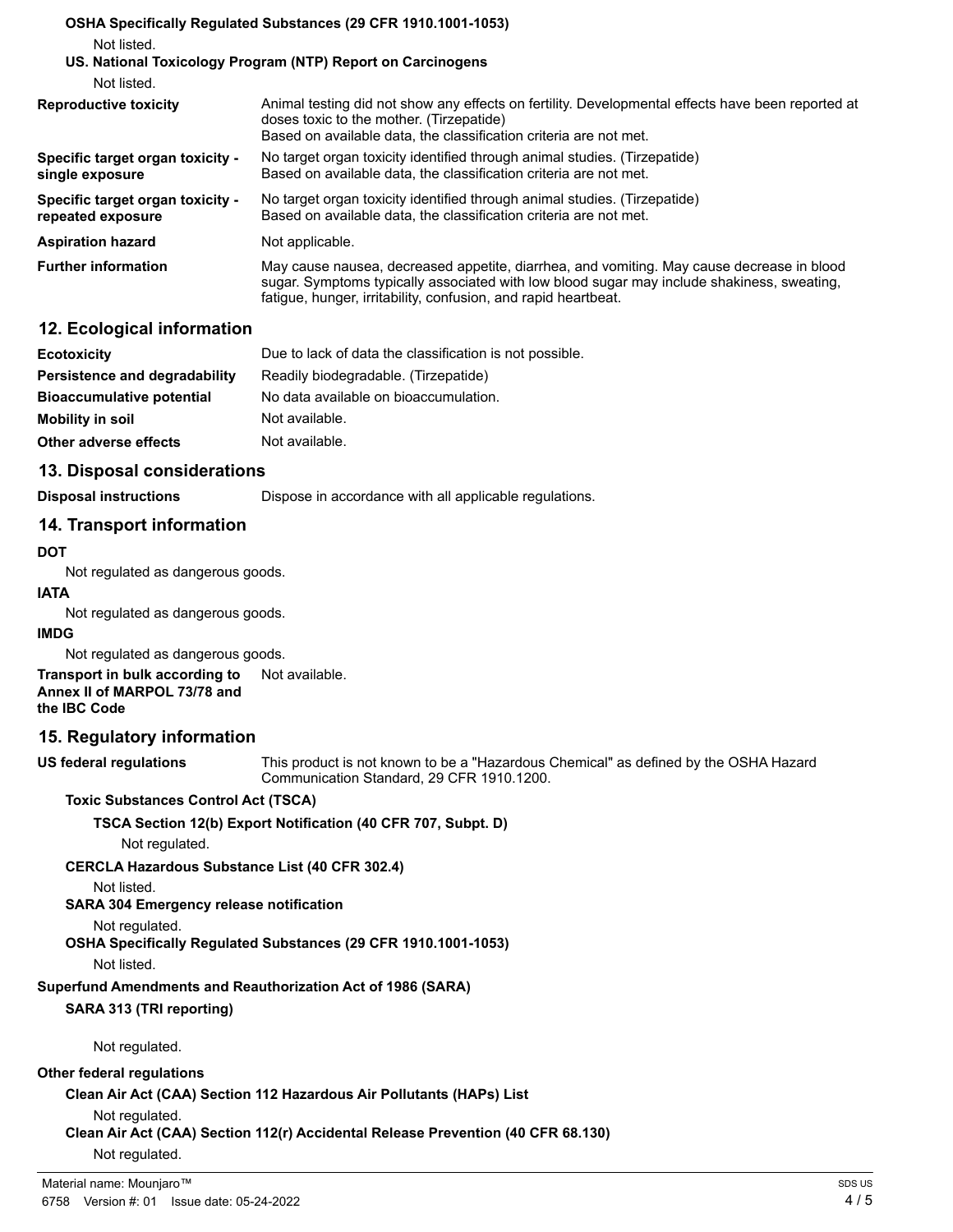|                                                       | OSHA Specifically Regulated Substances (29 CFR 1910.1001-1053)                                                                                                                                                                                            |
|-------------------------------------------------------|-----------------------------------------------------------------------------------------------------------------------------------------------------------------------------------------------------------------------------------------------------------|
| Not listed.                                           |                                                                                                                                                                                                                                                           |
|                                                       | US. National Toxicology Program (NTP) Report on Carcinogens                                                                                                                                                                                               |
| Not listed.                                           |                                                                                                                                                                                                                                                           |
| <b>Reproductive toxicity</b>                          | Animal testing did not show any effects on fertility. Developmental effects have been reported at<br>doses toxic to the mother. (Tirzepatide)<br>Based on available data, the classification criteria are not met.                                        |
| Specific target organ toxicity -<br>single exposure   | No target organ toxicity identified through animal studies. (Tirzepatide)<br>Based on available data, the classification criteria are not met.                                                                                                            |
| Specific target organ toxicity -<br>repeated exposure | No target organ toxicity identified through animal studies. (Tirzepatide)<br>Based on available data, the classification criteria are not met.                                                                                                            |
| <b>Aspiration hazard</b>                              | Not applicable.                                                                                                                                                                                                                                           |
| <b>Further information</b>                            | May cause nausea, decreased appetite, diarrhea, and vomiting. May cause decrease in blood<br>sugar. Symptoms typically associated with low blood sugar may include shakiness, sweating,<br>fatique, hunger, irritability, confusion, and rapid heartbeat. |
|                                                       |                                                                                                                                                                                                                                                           |

## **12. Ecological information**

| <b>Ecotoxicity</b>               | Due to lack of data the classification is not possible. |
|----------------------------------|---------------------------------------------------------|
| Persistence and degradability    | Readily biodegradable. (Tirzepatide)                    |
| <b>Bioaccumulative potential</b> | No data available on bioaccumulation.                   |
| <b>Mobility in soil</b>          | Not available.                                          |
| Other adverse effects            | Not available.                                          |

## **13. Disposal considerations**

**Disposal instructions Dispose in accordance with all applicable regulations.** 

## **14. Transport information**

#### **DOT**

Not regulated as dangerous goods.

## **IATA**

Not regulated as dangerous goods.

#### **IMDG**

Not regulated as dangerous goods.

**Transport in bulk according to** Not available. **Annex II of MARPOL 73/78 and the IBC Code**

## **15. Regulatory information**

**US federal regulations**

This product is not known to be a "Hazardous Chemical" as defined by the OSHA Hazard Communication Standard, 29 CFR 1910.1200.

#### **Toxic Substances Control Act (TSCA)**

## **TSCA Section 12(b) Export Notification (40 CFR 707, Subpt. D)**

Not regulated.

**CERCLA Hazardous Substance List (40 CFR 302.4)**

Not listed.

**SARA 304 Emergency release notification**

Not regulated.

**OSHA Specifically Regulated Substances (29 CFR 1910.1001-1053)**

Not listed.

**Superfund Amendments and Reauthorization Act of 1986 (SARA)**

## **SARA 313 (TRI reporting)**

Not regulated.

#### **Other federal regulations**

**Clean Air Act (CAA) Section 112 Hazardous Air Pollutants (HAPs) List**

Not regulated.

**Clean Air Act (CAA) Section 112(r) Accidental Release Prevention (40 CFR 68.130)** Not regulated.